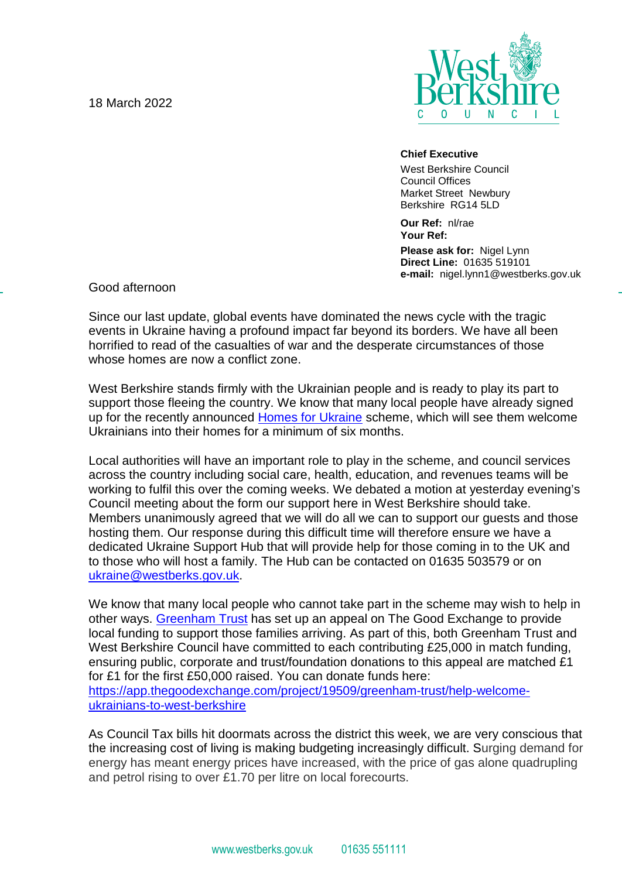18 March 2022



## **Chief Executive**

West Berkshire Council Council Offices Market Street Newbury Berkshire RG14 5LD

**Our Ref:** nl/rae **Your Ref: Please ask for:** Nigel Lynn **Direct Line:** 01635 519101 **e-mail:** nigel.lynn1@westberks.gov.uk

Good afternoon

Since our last update, global events have dominated the news cycle with the tragic events in Ukraine having a profound impact far beyond its borders. We have all been horrified to read of the casualties of war and the desperate circumstances of those whose homes are now a conflict zone.

West Berkshire stands firmly with the Ukrainian people and is ready to play its part to support those fleeing the country. We know that many local people have already signed up for the recently announced [Homes for Ukraine](https://homesforukraine.campaign.gov.uk/) scheme, which will see them welcome Ukrainians into their homes for a minimum of six months.

Local authorities will have an important role to play in the scheme, and council services across the country including social care, health, education, and revenues teams will be working to fulfil this over the coming weeks. We debated a motion at yesterday evening's Council meeting about the form our support here in West Berkshire should take. Members unanimously agreed that we will do all we can to support our guests and those hosting them. Our response during this difficult time will therefore ensure we have a dedicated Ukraine Support Hub that will provide help for those coming in to the UK and to those who will host a family. The Hub can be contacted on 01635 503579 or on [ukraine@westberks.gov.uk.](mailto:ukraine@westberks.gov.uk)

We know that many local people who cannot take part in the scheme may wish to help in other ways. [Greenham Trust](https://greenhamtrust.com/) has set up an appeal on The Good Exchange to provide local funding to support those families arriving. As part of this, both Greenham Trust and West Berkshire Council have committed to each contributing £25,000 in match funding, ensuring public, corporate and trust/foundation donations to this appeal are matched £1 for £1 for the first £50,000 raised. You can donate funds here: [https://app.thegoodexchange.com/project/19509/greenham-trust/help-welcome](https://protect-eu.mimecast.com/s/kf4BC4RwKUz3gjKUO-Mwb?domain=app.thegoodexchange.com)[ukrainians-to-west-berkshire](https://protect-eu.mimecast.com/s/kf4BC4RwKUz3gjKUO-Mwb?domain=app.thegoodexchange.com)

As Council Tax bills hit doormats across the district this week, we are very conscious that the increasing cost of living is making budgeting increasingly difficult. Surging demand for energy has meant energy prices have increased, with the price of gas alone quadrupling and petrol rising to over £1.70 per litre on local forecourts.